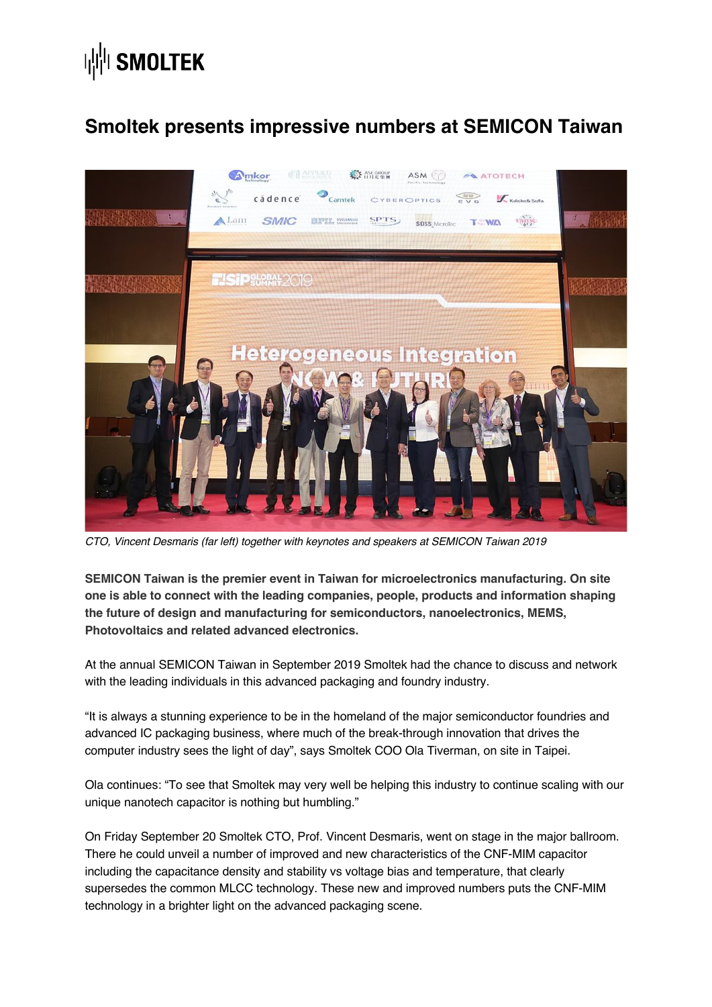## **| || || SMOLTEK**

## **Smoltek presents impressive numbers at SEMICON Taiwan**



*CTO, Vincent Desmaris (far left) together with keynotes and speakers at SEMICON Taiwan 2019*

**SEMICON Taiwan is the premier event in Taiwan for microelectronics manufacturing. On site one is able to connect with the leading companies, people, products and information shaping the future of design and manufacturing for semiconductors, nanoelectronics, MEMS, Photovoltaics and related advanced electronics.**

At the annual SEMICON Taiwan in September 2019 Smoltek had the chance to discuss and network with the leading individuals in this advanced packaging and foundry industry.

"It is always a stunning experience to be in the homeland of the major semiconductor foundries and advanced IC packaging business, where much of the break-through innovation that drives the computer industry sees the light of day", says Smoltek COO Ola Tiverman, on site in Taipei.

Ola continues: "To see that Smoltek may very well be helping this industry to continue scaling with our unique nanotech capacitor is nothing but humbling."

On Friday September 20 Smoltek CTO, Prof. Vincent Desmaris, went on stage in the major ballroom. There he could unveil a number of improved and new characteristics of the CNF-MIM capacitor including the capacitance density and stability vs voltage bias and temperature, that clearly supersedes the common MLCC technology. These new and improved numbers puts the CNF-MIM technology in a brighter light on the advanced packaging scene.